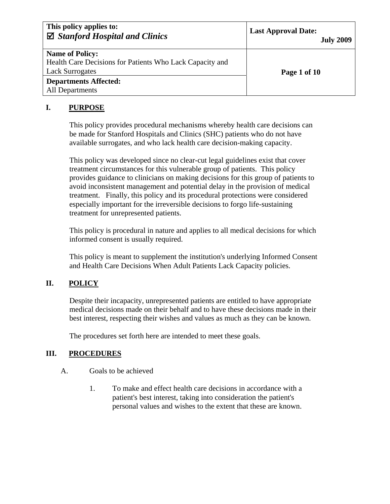| This policy applies to:<br>$\boxtimes$ Stanford Hospital and Clinics | <b>Last Approval Date:</b><br><b>July 2009</b> |
|----------------------------------------------------------------------|------------------------------------------------|
| <b>Name of Policy:</b>                                               |                                                |
| Health Care Decisions for Patients Who Lack Capacity and             |                                                |
| <b>Lack Surrogates</b>                                               | Page 1 of 10                                   |
| <b>Departments Affected:</b>                                         |                                                |
| All Departments                                                      |                                                |

### **I. PURPOSE**

This policy provides procedural mechanisms whereby health care decisions can be made for Stanford Hospitals and Clinics (SHC) patients who do not have available surrogates, and who lack health care decision-making capacity.

This policy was developed since no clear-cut legal guidelines exist that cover treatment circumstances for this vulnerable group of patients. This policy provides guidance to clinicians on making decisions for this group of patients to avoid inconsistent management and potential delay in the provision of medical treatment. Finally, this policy and its procedural protections were considered especially important for the irreversible decisions to forgo life-sustaining treatment for unrepresented patients.

This policy is procedural in nature and applies to all medical decisions for which informed consent is usually required.

This policy is meant to supplement the institution's underlying Informed Consent and Health Care Decisions When Adult Patients Lack Capacity policies.

# **II. POLICY**

Despite their incapacity, unrepresented patients are entitled to have appropriate medical decisions made on their behalf and to have these decisions made in their best interest, respecting their wishes and values as much as they can be known.

The procedures set forth here are intended to meet these goals.

# **III. PROCEDURES**

### A. Goals to be achieved

1. To make and effect health care decisions in accordance with a patient's best interest, taking into consideration the patient's personal values and wishes to the extent that these are known.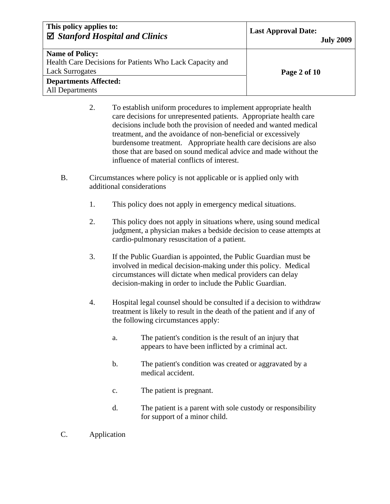| This policy applies to:<br>$\boxtimes$ Stanford Hospital and Clinics | <b>Last Approval Date:</b><br><b>July 2009</b> |
|----------------------------------------------------------------------|------------------------------------------------|
| <b>Name of Policy:</b>                                               |                                                |
| Health Care Decisions for Patients Who Lack Capacity and             |                                                |
| <b>Lack Surrogates</b>                                               | Page 2 of 10                                   |
| <b>Departments Affected:</b>                                         |                                                |
| All Departments                                                      |                                                |

- 2. To establish uniform procedures to implement appropriate health care decisions for unrepresented patients. Appropriate health care decisions include both the provision of needed and wanted medical treatment, and the avoidance of non-beneficial or excessively burdensome treatment. Appropriate health care decisions are also those that are based on sound medical advice and made without the influence of material conflicts of interest.
- B. Circumstances where policy is not applicable or is applied only with additional considerations
	- 1. This policy does not apply in emergency medical situations.
	- 2. This policy does not apply in situations where, using sound medical judgment, a physician makes a bedside decision to cease attempts at cardio-pulmonary resuscitation of a patient.
	- 3. If the Public Guardian is appointed, the Public Guardian must be involved in medical decision-making under this policy. Medical circumstances will dictate when medical providers can delay decision-making in order to include the Public Guardian.
	- 4. Hospital legal counsel should be consulted if a decision to withdraw treatment is likely to result in the death of the patient and if any of the following circumstances apply:
		- a. The patient's condition is the result of an injury that appears to have been inflicted by a criminal act.
		- b. The patient's condition was created or aggravated by a medical accident.
		- c. The patient is pregnant.
		- d. The patient is a parent with sole custody or responsibility for support of a minor child.
- C. Application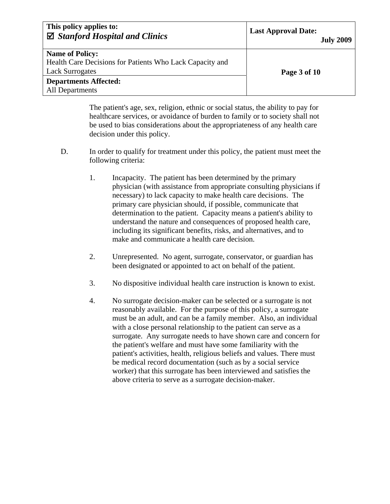| This policy applies to:<br>$\boxtimes$ Stanford Hospital and Clinics | <b>Last Approval Date:</b><br><b>July 2009</b> |
|----------------------------------------------------------------------|------------------------------------------------|
| <b>Name of Policy:</b>                                               |                                                |
| Health Care Decisions for Patients Who Lack Capacity and             |                                                |
| <b>Lack Surrogates</b>                                               | Page 3 of 10                                   |
| <b>Departments Affected:</b>                                         |                                                |
| <b>All Departments</b>                                               |                                                |

The patient's age, sex, religion, ethnic or social status, the ability to pay for healthcare services, or avoidance of burden to family or to society shall not be used to bias considerations about the appropriateness of any health care decision under this policy.

- D. In order to qualify for treatment under this policy, the patient must meet the following criteria:
	- 1. Incapacity. The patient has been determined by the primary physician (with assistance from appropriate consulting physicians if necessary) to lack capacity to make health care decisions. The primary care physician should, if possible, communicate that determination to the patient. Capacity means a patient's ability to understand the nature and consequences of proposed health care, including its significant benefits, risks, and alternatives, and to make and communicate a health care decision.
	- 2. Unrepresented. No agent, surrogate, conservator, or guardian has been designated or appointed to act on behalf of the patient.
	- 3. No dispositive individual health care instruction is known to exist.
	- 4. No surrogate decision-maker can be selected or a surrogate is not reasonably available. For the purpose of this policy, a surrogate must be an adult, and can be a family member. Also, an individual with a close personal relationship to the patient can serve as a surrogate. Any surrogate needs to have shown care and concern for the patient's welfare and must have some familiarity with the patient's activities, health, religious beliefs and values. There must be medical record documentation (such as by a social service worker) that this surrogate has been interviewed and satisfies the above criteria to serve as a surrogate decision-maker.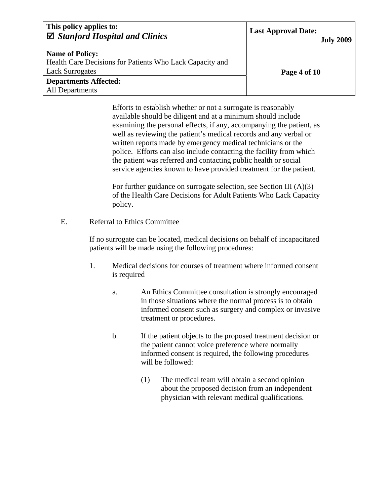| This policy applies to:<br>$\boxtimes$ Stanford Hospital and Clinics | <b>Last Approval Date:</b><br><b>July 2009</b> |
|----------------------------------------------------------------------|------------------------------------------------|
| <b>Name of Policy:</b>                                               |                                                |
| Health Care Decisions for Patients Who Lack Capacity and             |                                                |
| <b>Lack Surrogates</b>                                               | Page 4 of 10                                   |
| <b>Departments Affected:</b>                                         |                                                |
| <b>All Departments</b>                                               |                                                |

Efforts to establish whether or not a surrogate is reasonably available should be diligent and at a minimum should include examining the personal effects, if any, accompanying the patient, as well as reviewing the patient's medical records and any verbal or written reports made by emergency medical technicians or the police. Efforts can also include contacting the facility from which the patient was referred and contacting public health or social service agencies known to have provided treatment for the patient.

For further guidance on surrogate selection, see Section III (A)(3) of the Health Care Decisions for Adult Patients Who Lack Capacity policy.

E. Referral to Ethics Committee

If no surrogate can be located, medical decisions on behalf of incapacitated patients will be made using the following procedures:

- 1. Medical decisions for courses of treatment where informed consent is required
	- a. An Ethics Committee consultation is strongly encouraged in those situations where the normal process is to obtain informed consent such as surgery and complex or invasive treatment or procedures.
	- b. If the patient objects to the proposed treatment decision or the patient cannot voice preference where normally informed consent is required, the following procedures will be followed:
		- (1) The medical team will obtain a second opinion about the proposed decision from an independent physician with relevant medical qualifications.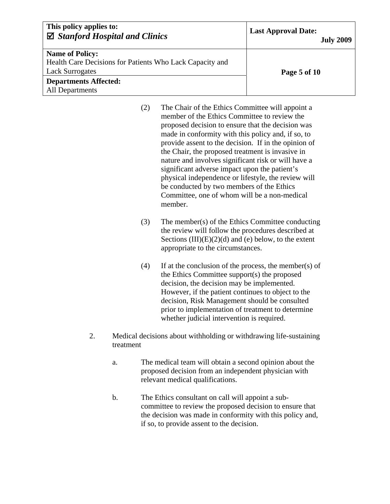| This policy applies to:<br>$\boxtimes$ Stanford Hospital and Clinics | <b>Last Approval Date:</b><br><b>July 2009</b> |
|----------------------------------------------------------------------|------------------------------------------------|
| <b>Name of Policy:</b>                                               |                                                |
| Health Care Decisions for Patients Who Lack Capacity and             |                                                |
| <b>Lack Surrogates</b>                                               | Page 5 of 10                                   |
| <b>Departments Affected:</b>                                         |                                                |
| All Departments                                                      |                                                |

- (2) The Chair of the Ethics Committee will appoint a member of the Ethics Committee to review the proposed decision to ensure that the decision was made in conformity with this policy and, if so, to provide assent to the decision. If in the opinion of the Chair, the proposed treatment is invasive in nature and involves significant risk or will have a significant adverse impact upon the patient's physical independence or lifestyle, the review will be conducted by two members of the Ethics Committee, one of whom will be a non-medical member.
- (3) The member(s) of the Ethics Committee conducting the review will follow the procedures described at Sections  $(III)(E)(2)(d)$  and (e) below, to the extent appropriate to the circumstances.
- (4) If at the conclusion of the process, the member(s) of the Ethics Committee support(s) the proposed decision, the decision may be implemented. However, if the patient continues to object to the decision, Risk Management should be consulted prior to implementation of treatment to determine whether judicial intervention is required.
- 2. Medical decisions about withholding or withdrawing life-sustaining treatment
	- a. The medical team will obtain a second opinion about the proposed decision from an independent physician with relevant medical qualifications.
	- b. The Ethics consultant on call will appoint a subcommittee to review the proposed decision to ensure that the decision was made in conformity with this policy and, if so, to provide assent to the decision.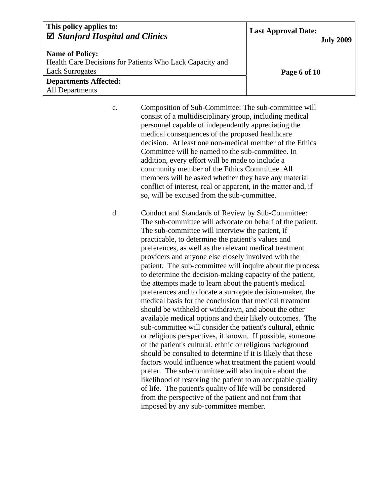| This policy applies to:<br>$\boxtimes$ Stanford Hospital and Clinics | <b>Last Approval Date:</b><br><b>July 2009</b> |
|----------------------------------------------------------------------|------------------------------------------------|
| <b>Name of Policy:</b>                                               |                                                |
| Health Care Decisions for Patients Who Lack Capacity and             |                                                |
| <b>Lack Surrogates</b>                                               | Page 6 of 10                                   |
| <b>Departments Affected:</b>                                         |                                                |
| <b>All Departments</b>                                               |                                                |

c. Composition of Sub-Committee: The sub-committee will consist of a multidisciplinary group, including medical personnel capable of independently appreciating the medical consequences of the proposed healthcare decision. At least one non-medical member of the Ethics Committee will be named to the sub-committee. In addition, every effort will be made to include a community member of the Ethics Committee. All members will be asked whether they have any material conflict of interest, real or apparent, in the matter and, if so, will be excused from the sub-committee.

d. Conduct and Standards of Review by Sub-Committee: The sub-committee will advocate on behalf of the patient. The sub-committee will interview the patient, if practicable, to determine the patient's values and preferences, as well as the relevant medical treatment providers and anyone else closely involved with the patient. The sub-committee will inquire about the process to determine the decision-making capacity of the patient, the attempts made to learn about the patient's medical preferences and to locate a surrogate decision-maker, the medical basis for the conclusion that medical treatment should be withheld or withdrawn, and about the other available medical options and their likely outcomes. The sub-committee will consider the patient's cultural, ethnic or religious perspectives, if known. If possible, someone of the patient's cultural, ethnic or religious background should be consulted to determine if it is likely that these factors would influence what treatment the patient would prefer. The sub-committee will also inquire about the likelihood of restoring the patient to an acceptable quality of life. The patient's quality of life will be considered from the perspective of the patient and not from that imposed by any sub-committee member.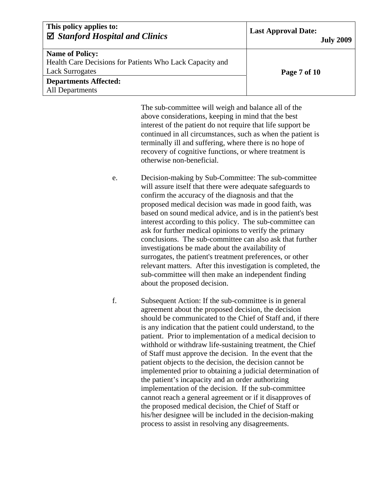| This policy applies to:<br>$\boxtimes$ Stanford Hospital and Clinics | <b>Last Approval Date:</b><br><b>July 2009</b> |
|----------------------------------------------------------------------|------------------------------------------------|
| <b>Name of Policy:</b>                                               |                                                |
| Health Care Decisions for Patients Who Lack Capacity and             |                                                |
| <b>Lack Surrogates</b>                                               | Page 7 of 10                                   |
| <b>Departments Affected:</b>                                         |                                                |
| All Departments                                                      |                                                |

The sub-committee will weigh and balance all of the above considerations, keeping in mind that the best interest of the patient do not require that life support be continued in all circumstances, such as when the patient is terminally ill and suffering, where there is no hope of recovery of cognitive functions, or where treatment is otherwise non-beneficial.

- e. Decision-making by Sub-Committee: The sub-committee will assure itself that there were adequate safeguards to confirm the accuracy of the diagnosis and that the proposed medical decision was made in good faith, was based on sound medical advice, and is in the patient's best interest according to this policy. The sub-committee can ask for further medical opinions to verify the primary conclusions. The sub-committee can also ask that further investigations be made about the availability of surrogates, the patient's treatment preferences, or other relevant matters. After this investigation is completed, the sub-committee will then make an independent finding about the proposed decision.
- f. Subsequent Action: If the sub-committee is in general agreement about the proposed decision, the decision should be communicated to the Chief of Staff and, if there is any indication that the patient could understand, to the patient. Prior to implementation of a medical decision to withhold or withdraw life-sustaining treatment, the Chief of Staff must approve the decision. In the event that the patient objects to the decision, the decision cannot be implemented prior to obtaining a judicial determination of the patient's incapacity and an order authorizing implementation of the decision. If the sub-committee cannot reach a general agreement or if it disapproves of the proposed medical decision, the Chief of Staff or his/her designee will be included in the decision-making process to assist in resolving any disagreements.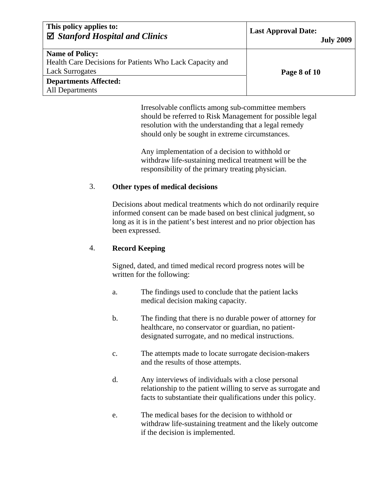| This policy applies to:<br>$\boxtimes$ Stanford Hospital and Clinics | <b>Last Approval Date:</b><br><b>July 2009</b> |
|----------------------------------------------------------------------|------------------------------------------------|
| <b>Name of Policy:</b>                                               |                                                |
| Health Care Decisions for Patients Who Lack Capacity and             |                                                |
| <b>Lack Surrogates</b>                                               | Page 8 of 10                                   |
| <b>Departments Affected:</b>                                         |                                                |
| All Departments                                                      |                                                |

Irresolvable conflicts among sub-committee members should be referred to Risk Management for possible legal resolution with the understanding that a legal remedy should only be sought in extreme circumstances.

Any implementation of a decision to withhold or withdraw life-sustaining medical treatment will be the responsibility of the primary treating physician.

#### 3. **Other types of medical decisions**

Decisions about medical treatments which do not ordinarily require informed consent can be made based on best clinical judgment, so long as it is in the patient's best interest and no prior objection has been expressed.

#### 4. **Record Keeping**

Signed, dated, and timed medical record progress notes will be written for the following:

- a. The findings used to conclude that the patient lacks medical decision making capacity.
- b. The finding that there is no durable power of attorney for healthcare, no conservator or guardian, no patientdesignated surrogate, and no medical instructions.
- c. The attempts made to locate surrogate decision-makers and the results of those attempts.
- d. Any interviews of individuals with a close personal relationship to the patient willing to serve as surrogate and facts to substantiate their qualifications under this policy.
- e. The medical bases for the decision to withhold or withdraw life-sustaining treatment and the likely outcome if the decision is implemented.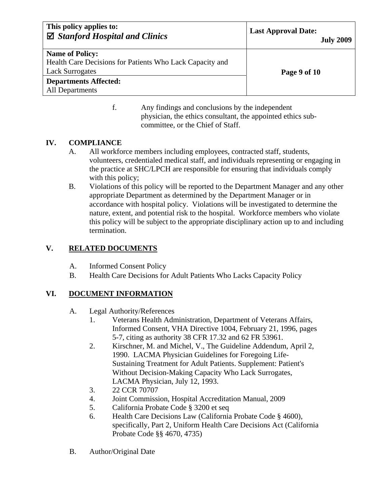| This policy applies to:<br>$\boxtimes$ Stanford Hospital and Clinics               | <b>Last Approval Date:</b><br><b>July 2009</b> |
|------------------------------------------------------------------------------------|------------------------------------------------|
| <b>Name of Policy:</b><br>Health Care Decisions for Patients Who Lack Capacity and |                                                |
| <b>Lack Surrogates</b><br><b>Departments Affected:</b>                             | Page 9 of 10                                   |
| All Departments                                                                    |                                                |

f. Any findings and conclusions by the independent physician, the ethics consultant, the appointed ethics subcommittee, or the Chief of Staff.

### **IV. COMPLIANCE**

- A. All workforce members including employees, contracted staff, students, volunteers, credentialed medical staff, and individuals representing or engaging in the practice at SHC/LPCH are responsible for ensuring that individuals comply with this policy;
- B. Violations of this policy will be reported to the Department Manager and any other appropriate Department as determined by the Department Manager or in accordance with hospital policy. Violations will be investigated to determine the nature, extent, and potential risk to the hospital. Workforce members who violate this policy will be subject to the appropriate disciplinary action up to and including termination.

## **V. RELATED DOCUMENTS**

- A. Informed Consent Policy
- B. Health Care Decisions for Adult Patients Who Lacks Capacity Policy

# **VI. DOCUMENT INFORMATION**

- A. Legal Authority/References
	- 1. Veterans Health Administration, Department of Veterans Affairs, Informed Consent, VHA Directive 1004, February 21, 1996, pages 5-7, citing as authority 38 CFR 17.32 and 62 FR 53961.
	- 2. Kirschner, M. and Michel, V., The Guideline Addendum, April 2, 1990. LACMA Physician Guidelines for Foregoing Life-Sustaining Treatment for Adult Patients. Supplement: Patient's Without Decision-Making Capacity Who Lack Surrogates, LACMA Physician, July 12, 1993.
	- 3. 22 CCR 70707
	- 4. Joint Commission, Hospital Accreditation Manual, 2009
	- 5. California Probate Code § 3200 et seq
	- 6. Health Care Decisions Law (California Probate Code § 4600), specifically, Part 2, Uniform Health Care Decisions Act (California Probate Code §§ 4670, 4735)
- B. Author/Original Date